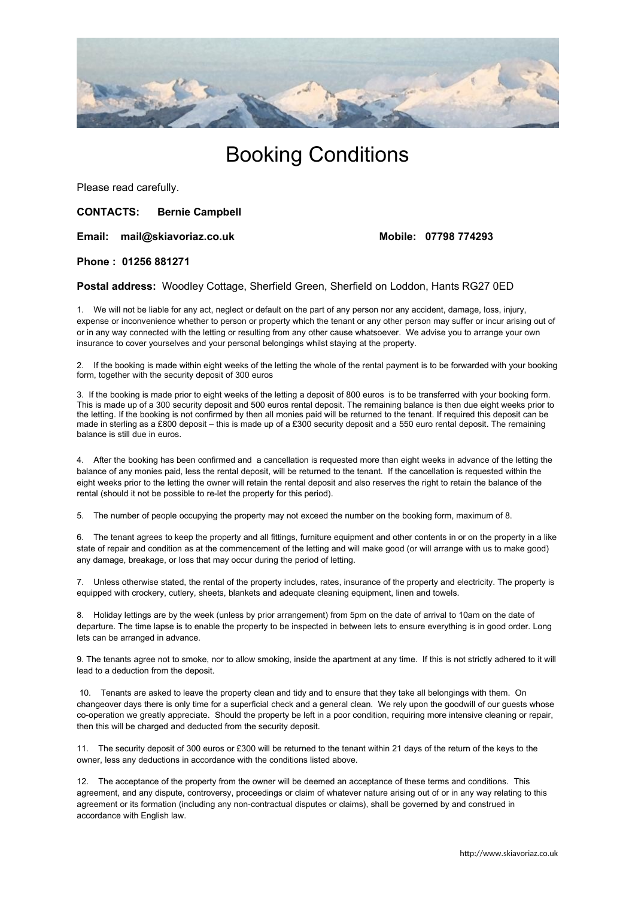

# Booking Conditions

Please read carefully.

# **CONTACTS: Bernie Campbell**

#### **Email: mail@skiavoriaz.co.uk Mobile: 07798 774293**

#### **Phone : 01256 881271**

**Postal address:** Woodley Cottage, Sherfield Green, Sherfield on Loddon, Hants RG27 0ED

1. We will not be liable for any act, neglect or default on the part of any person nor any accident, damage, loss, injury, expense or inconvenience whether to person or property which the tenant or any other person may suffer or incur arising out of or in any way connected with the letting or resulting from any other cause whatsoever. We advise you to arrange your own insurance to cover yourselves and your personal belongings whilst staying at the property.

2. If the booking is made within eight weeks of the letting the whole of the rental payment is to be forwarded with your booking form, together with the security deposit of 300 euros

3. If the booking is made prior to eight weeks of the letting a deposit of 800 euros is to be transferred with your booking form. This is made up of a 300 security deposit and 500 euros rental deposit. The remaining balance is then due eight weeks prior to the letting. If the booking is not confirmed by then all monies paid will be returned to the tenant. If required this deposit can be made in sterling as a £800 deposit – this is made up of a £300 security deposit and a 550 euro rental deposit. The remaining balance is still due in euros.

4. After the booking has been confirmed and a cancellation is requested more than eight weeks in advance of the letting the balance of any monies paid, less the rental deposit, will be returned to the tenant. If the cancellation is requested within the eight weeks prior to the letting the owner will retain the rental deposit and also reserves the right to retain the balance of the rental (should it not be possible to re-let the property for this period).

5. The number of people occupying the property may not exceed the number on the booking form, maximum of 8.

6. The tenant agrees to keep the property and all fittings, furniture equipment and other contents in or on the property in a like state of repair and condition as at the commencement of the letting and will make good (or will arrange with us to make good) any damage, breakage, or loss that may occur during the period of letting.

7. Unless otherwise stated, the rental of the property includes, rates, insurance of the property and electricity. The property is equipped with crockery, cutlery, sheets, blankets and adequate cleaning equipment, linen and towels.

8. Holiday lettings are by the week (unless by prior arrangement) from 5pm on the date of arrival to 10am on the date of departure. The time lapse is to enable the property to be inspected in between lets to ensure everything is in good order. Long lets can be arranged in advance.

9. The tenants agree not to smoke, nor to allow smoking, inside the apartment at any time. If this is not strictly adhered to it will lead to a deduction from the deposit.

10. Tenants are asked to leave the property clean and tidy and to ensure that they take all belongings with them. On changeover days there is only time for a superficial check and a general clean. We rely upon the goodwill of our guests whose co-operation we greatly appreciate. Should the property be left in a poor condition, requiring more intensive cleaning or repair, then this will be charged and deducted from the security deposit.

11. The security deposit of 300 euros or £300 will be returned to the tenant within 21 days of the return of the keys to the owner, less any deductions in accordance with the conditions listed above.

12. The acceptance of the property from the owner will be deemed an acceptance of these terms and conditions. This agreement, and any dispute, controversy, proceedings or claim of whatever nature arising out of or in any way relating to this agreement or its formation (including any non-contractual disputes or claims), shall be governed by and construed in accordance with English law.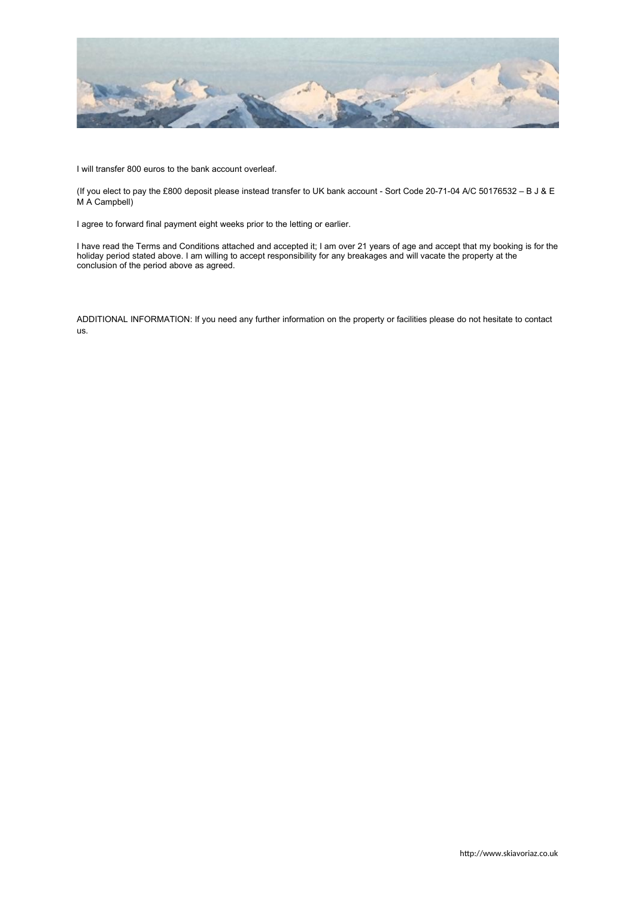

I will transfer 800 euros to the bank account overleaf.

(If you elect to pay the £800 deposit please instead transfer to UK bank account - Sort Code 20-71-04 A/C 50176532 – B J & E M A Campbell)

I agree to forward final payment eight weeks prior to the letting or earlier.

I have read the Terms and Conditions attached and accepted it; I am over 21 years of age and accept that my booking is for the holiday period stated above. I am willing to accept responsibility for any breakages and will vacate the property at the conclusion of the period above as agreed.

ADDITIONAL INFORMATION: If you need any further information on the property or facilities please do not hesitate to contact us.